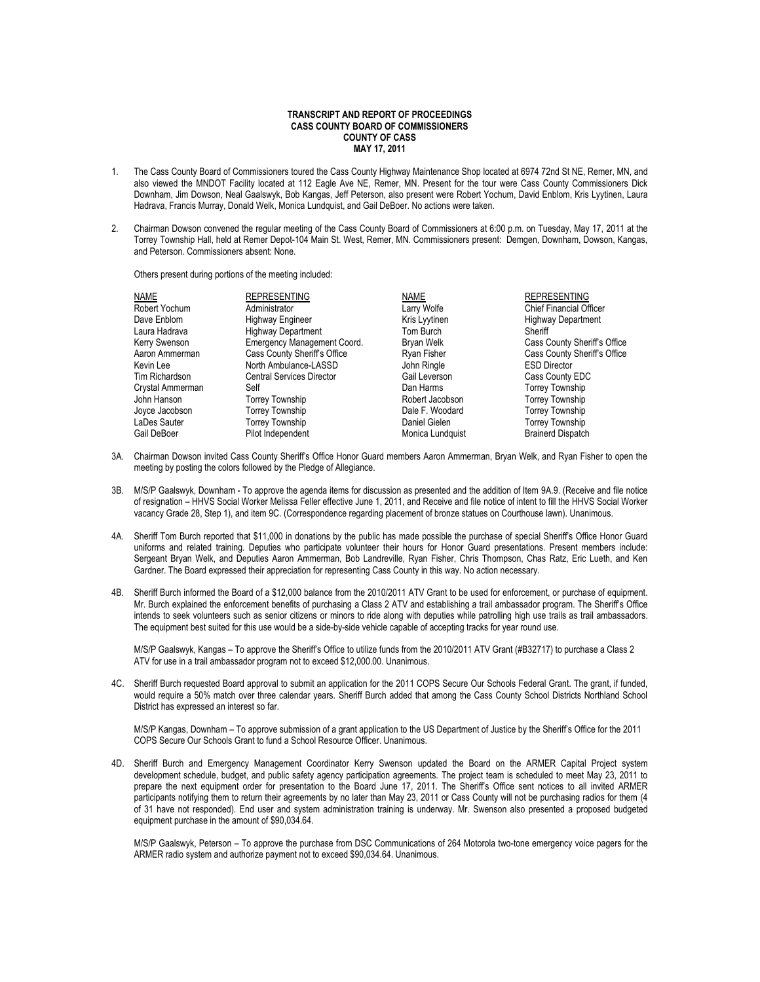## **TRANSCRIPT AND REPORT OF PROCEEDINGS CASS COUNTY BOARD OF COMMISSIONERS COUNTY OF CASS MAY 17, 2011**

- 1. The Cass County Board of Commissioners toured the Cass County Highway Maintenance Shop located at 6974 72nd St NE, Remer, MN, and also viewed the MNDOT Facility located at 112 Eagle Ave NE, Remer, MN. Present for the tour were Cass County Commissioners Dick Downham, Jim Dowson, Neal Gaalswyk, Bob Kangas, Jeff Peterson, also present were Robert Yochum, David Enblom, Kris Lyytinen, Laura Hadrava, Francis Murray, Donald Welk, Monica Lundquist, and Gail DeBoer. No actions were taken.
- 2. Chairman Dowson convened the regular meeting of the Cass County Board of Commissioners at 6:00 p.m. on Tuesday, May 17, 2011 at the Torrey Township Hall, held at Remer Depot-104 Main St. West, Remer, MN. Commissioners present: Demgen, Downham, Dowson, Kangas, and Peterson. Commissioners absent: None.

Others present during portions of the meeting included:

| NAME             | <b>REPRESENTING</b>              | NAME             | <b>REPRESENTING</b>            |
|------------------|----------------------------------|------------------|--------------------------------|
| Robert Yochum    | Administrator                    | Larry Wolfe      | <b>Chief Financial Officer</b> |
| Dave Enblom      | Highway Engineer                 | Kris Lyytinen    | <b>Highway Department</b>      |
| Laura Hadrava    | <b>Highway Department</b>        | Tom Burch        | Sheriff                        |
| Kerry Swenson    | Emergency Management Coord.      | Bryan Welk       | Cass County Sheriff's Office   |
| Aaron Ammerman   | Cass County Sheriff's Office     | Ryan Fisher      | Cass County Sheriff's Office   |
| Kevin Lee        | North Ambulance-LASSD            | John Ringle      | <b>ESD Director</b>            |
| Tim Richardson   | <b>Central Services Director</b> | Gail Leverson    | Cass County EDC                |
| Crystal Ammerman | Self                             | Dan Harms        | <b>Torrey Township</b>         |
| John Hanson      | <b>Torrey Township</b>           | Robert Jacobson  | <b>Torrey Township</b>         |
| Joyce Jacobson   | <b>Torrey Township</b>           | Dale F. Woodard  | <b>Torrey Township</b>         |
| LaDes Sauter     | <b>Torrey Township</b>           | Daniel Gielen    | <b>Torrey Township</b>         |
| Gail DeBoer      | Pilot Independent                | Monica Lundquist | <b>Brainerd Dispatch</b>       |

- 3A. Chairman Dowson invited Cass County Sheriff's Office Honor Guard members Aaron Ammerman, Bryan Welk, and Ryan Fisher to open the meeting by posting the colors followed by the Pledge of Allegiance.
- 3B. M/S/P Gaalswyk, Downham To approve the agenda items for discussion as presented and the addition of Item 9A.9. (Receive and file notice of resignation – HHVS Social Worker Melissa Feller effective June 1, 2011, and Receive and file notice of intent to fill the HHVS Social Worker vacancy Grade 28, Step 1), and item 9C. (Correspondence regarding placement of bronze statues on Courthouse lawn). Unanimous.
- 4A. Sheriff Tom Burch reported that \$11,000 in donations by the public has made possible the purchase of special Sheriff's Office Honor Guard uniforms and related training. Deputies who participate volunteer their hours for Honor Guard presentations. Present members include: Sergeant Bryan Welk, and Deputies Aaron Ammerman, Bob Landreville, Ryan Fisher, Chris Thompson, Chas Ratz, Eric Lueth, and Ken Gardner. The Board expressed their appreciation for representing Cass County in this way. No action necessary.
- 4B. Sheriff Burch informed the Board of a \$12,000 balance from the 2010/2011 ATV Grant to be used for enforcement, or purchase of equipment. Mr. Burch explained the enforcement benefits of purchasing a Class 2 ATV and establishing a trail ambassador program. The Sheriff's Office intends to seek volunteers such as senior citizens or minors to ride along with deputies while patrolling high use trails as trail ambassadors. The equipment best suited for this use would be a side-by-side vehicle capable of accepting tracks for year round use.

M/S/P Gaalswyk, Kangas – To approve the Sheriff's Office to utilize funds from the 2010/2011 ATV Grant (#B32717) to purchase a Class 2 ATV for use in a trail ambassador program not to exceed \$12,000.00. Unanimous.

4C. Sheriff Burch requested Board approval to submit an application for the 2011 COPS Secure Our Schools Federal Grant. The grant, if funded, would require a 50% match over three calendar years. Sheriff Burch added that among the Cass County School Districts Northland School District has expressed an interest so far.

M/S/P Kangas, Downham – To approve submission of a grant application to the US Department of Justice by the Sheriff's Office for the 2011 COPS Secure Our Schools Grant to fund a School Resource Officer. Unanimous.

4D. Sheriff Burch and Emergency Management Coordinator Kerry Swenson updated the Board on the ARMER Capital Project system development schedule, budget, and public safety agency participation agreements. The project team is scheduled to meet May 23, 2011 to prepare the next equipment order for presentation to the Board June 17, 2011. The Sheriff's Office sent notices to all invited ARMER participants notifying them to return their agreements by no later than May 23, 2011 or Cass County will not be purchasing radios for them (4 of 31 have not responded). End user and system administration training is underway. Mr. Swenson also presented a proposed budgeted equipment purchase in the amount of \$90,034.64.

M/S/P Gaalswyk, Peterson – To approve the purchase from DSC Communications of 264 Motorola two-tone emergency voice pagers for the ARMER radio system and authorize payment not to exceed \$90,034.64. Unanimous.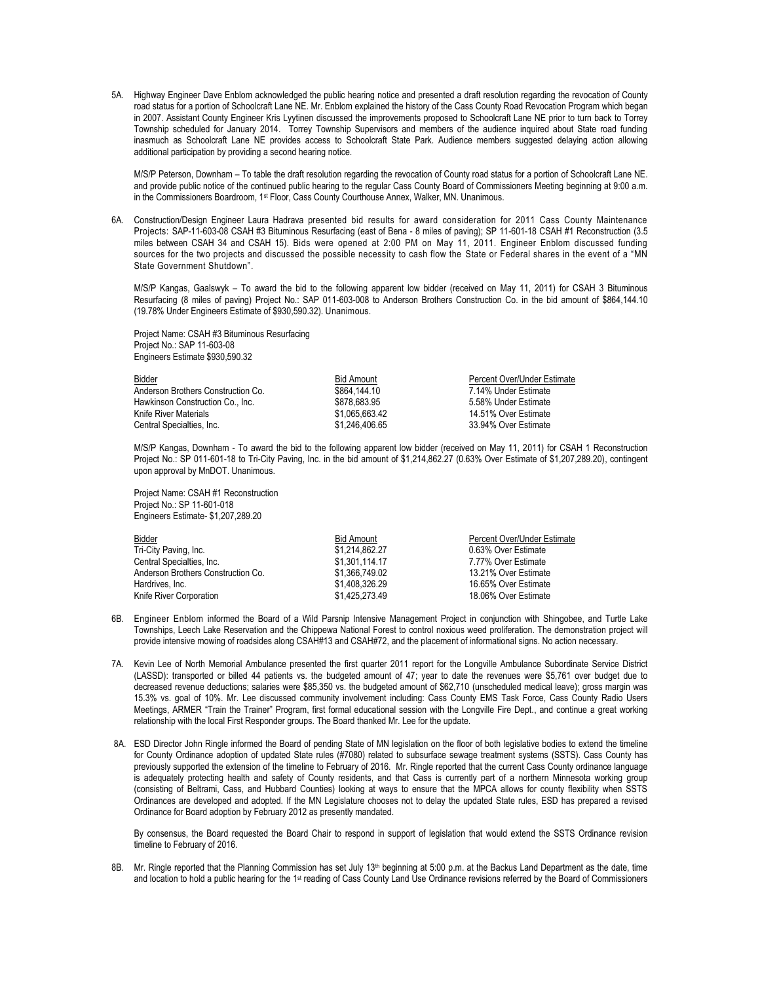5A. Highway Engineer Dave Enblom acknowledged the public hearing notice and presented a draft resolution regarding the revocation of County road status for a portion of Schoolcraft Lane NE. Mr. Enblom explained the history of the Cass County Road Revocation Program which began in 2007. Assistant County Engineer Kris Lyytinen discussed the improvements proposed to Schoolcraft Lane NE prior to turn back to Torrey Township scheduled for January 2014. Torrey Township Supervisors and members of the audience inquired about State road funding inasmuch as Schoolcraft Lane NE provides access to Schoolcraft State Park. Audience members suggested delaying action allowing additional participation by providing a second hearing notice.

M/S/P Peterson, Downham – To table the draft resolution regarding the revocation of County road status for a portion of Schoolcraft Lane NE. and provide public notice of the continued public hearing to the regular Cass County Board of Commissioners Meeting beginning at 9:00 a.m. in the Commissioners Boardroom, 1st Floor, Cass County Courthouse Annex, Walker, MN. Unanimous.

6A. Construction/Design Engineer Laura Hadrava presented bid results for award consideration for 2011 Cass County Maintenance Projects: SAP-11-603-08 CSAH #3 Bituminous Resurfacing (east of Bena - 8 miles of paving); SP 11-601-18 CSAH #1 Reconstruction (3.5 miles between CSAH 34 and CSAH 15). Bids were opened at 2:00 PM on May 11, 2011. Engineer Enblom discussed funding sources for the two projects and discussed the possible necessity to cash flow the State or Federal shares in the event of a "MN State Government Shutdown".

M/S/P Kangas, Gaalswyk – To award the bid to the following apparent low bidder (received on May 11, 2011) for CSAH 3 Bituminous Resurfacing (8 miles of paving) Project No.: SAP 011-603-008 to Anderson Brothers Construction Co. in the bid amount of \$864,144.10 (19.78% Under Engineers Estimate of \$930,590.32). Unanimous.

Project Name: CSAH #3 Bituminous Resurfacing Project No.: SAP 11-603-08 Engineers Estimate \$930,590.32

| Bidder                             | <b>Bid Amount</b> | Percent Over/Under Estimate |
|------------------------------------|-------------------|-----------------------------|
| Anderson Brothers Construction Co. | \$864.144.10      | 7.14% Under Estimate        |
| Hawkinson Construction Co., Inc.   | \$878.683.95      | 5.58% Under Estimate        |
| Knife River Materials              | \$1.065.663.42    | 14.51% Over Estimate        |
| Central Specialties, Inc.          | \$1.246.406.65    | 33.94% Over Estimate        |

M/S/P Kangas, Downham - To award the bid to the following apparent low bidder (received on May 11, 2011) for CSAH 1 Reconstruction Project No.: SP 011-601-18 to Tri-City Paving, Inc. in the bid amount of \$1,214,862.27 (0.63% Over Estimate of \$1,207,289.20), contingent upon approval by MnDOT. Unanimous.

Project Name: CSAH #1 Reconstruction Project No.: SP 11-601-018 Engineers Estimate- \$1,207,289.20

| <b>Bidder</b>                      | <b>Bid Amount</b> | Percent Over/Under Estimate |
|------------------------------------|-------------------|-----------------------------|
| Tri-City Paving, Inc.              | \$1.214.862.27    | 0.63% Over Estimate         |
| Central Specialties, Inc.          | \$1.301.114.17    | 7.77% Over Estimate         |
| Anderson Brothers Construction Co. | \$1,366,749.02    | 13.21% Over Estimate        |
| Hardrives, Inc.                    | \$1.408.326.29    | 16.65% Over Estimate        |
| Knife River Corporation            | \$1.425.273.49    | 18.06% Over Estimate        |

- 6B. Engineer Enblom informed the Board of a Wild Parsnip Intensive Management Project in conjunction with Shingobee, and Turtle Lake Townships, Leech Lake Reservation and the Chippewa National Forest to control noxious weed proliferation. The demonstration project will provide intensive mowing of roadsides along CSAH#13 and CSAH#72, and the placement of informational signs. No action necessary.
- 7A. Kevin Lee of North Memorial Ambulance presented the first quarter 2011 report for the Longville Ambulance Subordinate Service District (LASSD): transported or billed 44 patients vs. the budgeted amount of 47; year to date the revenues were \$5,761 over budget due to decreased revenue deductions; salaries were \$85,350 vs. the budgeted amount of \$62,710 (unscheduled medical leave); gross margin was 15.3% vs. goal of 10%. Mr. Lee discussed community involvement including: Cass County EMS Task Force, Cass County Radio Users Meetings, ARMER "Train the Trainer" Program, first formal educational session with the Longville Fire Dept., and continue a great working relationship with the local First Responder groups. The Board thanked Mr. Lee for the update.
- 8A. ESD Director John Ringle informed the Board of pending State of MN legislation on the floor of both legislative bodies to extend the timeline for County Ordinance adoption of updated State rules (#7080) related to subsurface sewage treatment systems (SSTS). Cass County has previously supported the extension of the timeline to February of 2016. Mr. Ringle reported that the current Cass County ordinance language is adequately protecting health and safety of County residents, and that Cass is currently part of a northern Minnesota working group (consisting of Beltrami, Cass, and Hubbard Counties) looking at ways to ensure that the MPCA allows for county flexibility when SSTS Ordinances are developed and adopted. If the MN Legislature chooses not to delay the updated State rules, ESD has prepared a revised Ordinance for Board adoption by February 2012 as presently mandated.

By consensus, the Board requested the Board Chair to respond in support of legislation that would extend the SSTS Ordinance revision timeline to February of 2016.

8B. Mr. Ringle reported that the Planning Commission has set July 13<sup>th</sup> beginning at 5:00 p.m. at the Backus Land Department as the date, time and location to hold a public hearing for the 1st reading of Cass County Land Use Ordinance revisions referred by the Board of Commissioners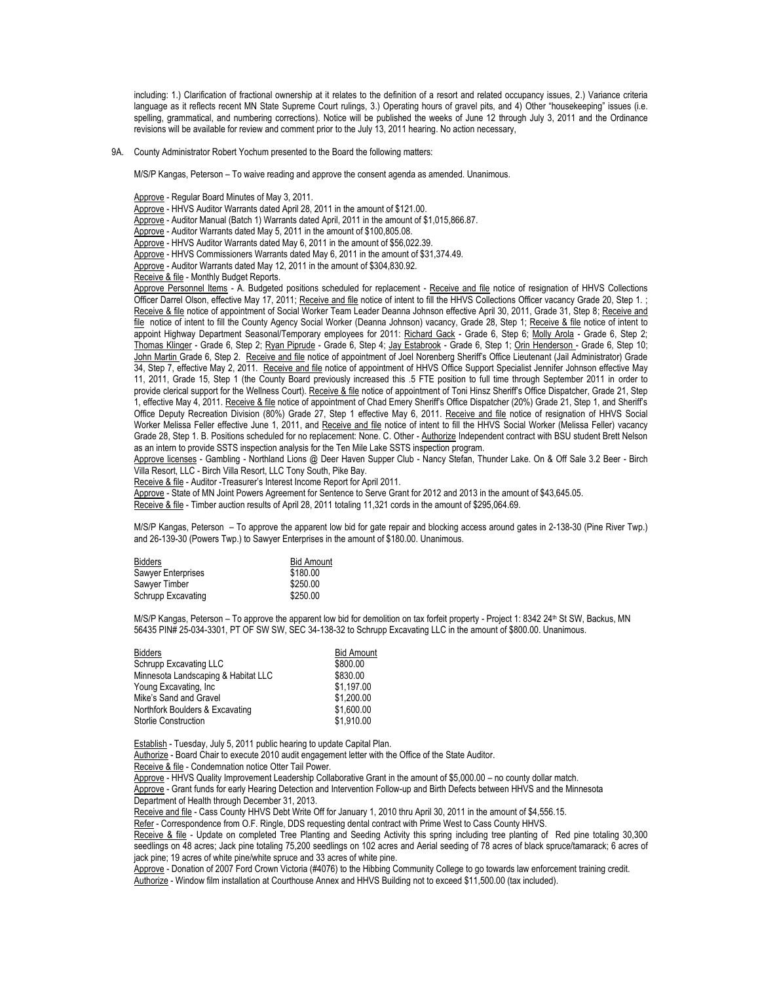including: 1.) Clarification of fractional ownership at it relates to the definition of a resort and related occupancy issues, 2.) Variance criteria language as it reflects recent MN State Supreme Court rulings, 3.) Operating hours of gravel pits, and 4) Other "housekeeping" issues (i.e. spelling, grammatical, and numbering corrections). Notice will be published the weeks of June 12 through July 3, 2011 and the Ordinance revisions will be available for review and comment prior to the July 13, 2011 hearing. No action necessary,

9A. County Administrator Robert Yochum presented to the Board the following matters:

M/S/P Kangas, Peterson – To waive reading and approve the consent agenda as amended. Unanimous.

Approve - Regular Board Minutes of May 3, 2011.

Approve - HHVS Auditor Warrants dated April 28, 2011 in the amount of \$121.00.

Approve - Auditor Manual (Batch 1) Warrants dated April, 2011 in the amount of \$1,015,866.87.

Approve - Auditor Warrants dated May 5, 2011 in the amount of \$100,805.08.

Approve - HHVS Auditor Warrants dated May 6, 2011 in the amount of \$56,022.39.

Approve - HHVS Commissioners Warrants dated May 6, 2011 in the amount of \$31,374.49.

Approve - Auditor Warrants dated May 12, 2011 in the amount of \$304,830.92.

Receive & file - Monthly Budget Reports.

Approve Personnel Items - A. Budgeted positions scheduled for replacement - Receive and file notice of resignation of HHVS Collections Officer Darrel Olson, effective May 17, 2011; Receive and file notice of intent to fill the HHVS Collections Officer vacancy Grade 20, Step 1.; Receive & file notice of appointment of Social Worker Team Leader Deanna Johnson effective April 30, 2011, Grade 31, Step 8; Receive and file notice of intent to fill the County Agency Social Worker (Deanna Johnson) vacancy, Grade 28, Step 1; Receive & file notice of intent to appoint Highway Department Seasonal/Temporary employees for 2011: Richard Gack - Grade 6, Step 6; Molly Arola - Grade 6, Step 2; Thomas Klinger - Grade 6, Step 2; Ryan Piprude - Grade 6, Step 4; Jay Estabrook - Grade 6, Step 1; Orin Henderson - Grade 6, Step 10; John Martin Grade 6, Step 2. Receive and file notice of appointment of Joel Norenberg Sheriff's Office Lieutenant (Jail Administrator) Grade 34, Step 7, effective May 2, 2011. Receive and file notice of appointment of HHVS Office Support Specialist Jennifer Johnson effective May 11, 2011, Grade 15, Step 1 (the County Board previously increased this .5 FTE position to full time through September 2011 in order to provide clerical support for the Wellness Court). Receive & file notice of appointment of Toni Hinsz Sheriff's Office Dispatcher, Grade 21, Step 1, effective May 4, 2011. Receive & file notice of appointment of Chad Emery Sheriff's Office Dispatcher (20%) Grade 21, Step 1, and Sheriff's Office Deputy Recreation Division (80%) Grade 27, Step 1 effective May 6, 2011. Receive and file notice of resignation of HHVS Social Worker Melissa Feller effective June 1, 2011, and Receive and file notice of intent to fill the HHVS Social Worker (Melissa Feller) vacancy Grade 28, Step 1. B. Positions scheduled for no replacement: None. C. Other - Authorize Independent contract with BSU student Brett Nelson as an intern to provide SSTS inspection analysis for the Ten Mile Lake SSTS inspection program.

Approve licenses - Gambling - Northland Lions @ Deer Haven Supper Club - Nancy Stefan, Thunder Lake. On & Off Sale 3.2 Beer - Birch Villa Resort, LLC - Birch Villa Resort, LLC Tony South, Pike Bay.

Receive & file - Auditor -Treasurer's Interest Income Report for April 2011.

Approve - State of MN Joint Powers Agreement for Sentence to Serve Grant for 2012 and 2013 in the amount of \$43,645.05.

Receive & file - Timber auction results of April 28, 2011 totaling 11,321 cords in the amount of \$295,064.69.

M/S/P Kangas, Peterson – To approve the apparent low bid for gate repair and blocking access around gates in 2-138-30 (Pine River Twp.) and 26-139-30 (Powers Twp.) to Sawyer Enterprises in the amount of \$180.00. Unanimous.

| <b>Bidders</b>     | <b>Bid Amount</b> |
|--------------------|-------------------|
| Sawyer Enterprises | \$180.00          |
| Sawyer Timber      | \$250.00          |
| Schrupp Excavating | \$250.00          |

M/S/P Kangas, Peterson – To approve the apparent low bid for demolition on tax forfeit property - Project 1: 8342 24<sup>th</sup> St SW, Backus, MN 56435 PIN# 25-034-3301, PT OF SW SW, SEC 34-138-32 to Schrupp Excavating LLC in the amount of \$800.00. Unanimous.

| <b>Bidders</b>                      | <b>Bid Amount</b> |
|-------------------------------------|-------------------|
| Schrupp Excavating LLC              | \$800.00          |
| Minnesota Landscaping & Habitat LLC | \$830.00          |
| Young Excavating, Inc.              | \$1.197.00        |
| Mike's Sand and Gravel              | \$1.200.00        |
| Northfork Boulders & Excavating     | \$1,600.00        |
| <b>Storlie Construction</b>         | \$1.910.00        |

Establish - Tuesday, July 5, 2011 public hearing to update Capital Plan.

Authorize - Board Chair to execute 2010 audit engagement letter with the Office of the State Auditor.

Receive & file - Condemnation notice Otter Tail Power.

Approve - HHVS Quality Improvement Leadership Collaborative Grant in the amount of \$5,000.00 – no county dollar match.

Approve - Grant funds for early Hearing Detection and Intervention Follow-up and Birth Defects between HHVS and the Minnesota Department of Health through December 31, 2013.

Receive and file - Cass County HHVS Debt Write Off for January 1, 2010 thru April 30, 2011 in the amount of \$4,556.15.

Refer - Correspondence from O.F. Ringle, DDS requesting dental contract with Prime West to Cass County HHVS.

Receive & file - Update on completed Tree Planting and Seeding Activity this spring including tree planting of Red pine totaling 30,300 seedlings on 48 acres; Jack pine totaling 75,200 seedlings on 102 acres and Aerial seeding of 78 acres of black spruce/tamarack; 6 acres of jack pine; 19 acres of white pine/white spruce and 33 acres of white pine.

Approve - Donation of 2007 Ford Crown Victoria (#4076) to the Hibbing Community College to go towards law enforcement training credit. Authorize - Window film installation at Courthouse Annex and HHVS Building not to exceed \$11,500.00 (tax included).